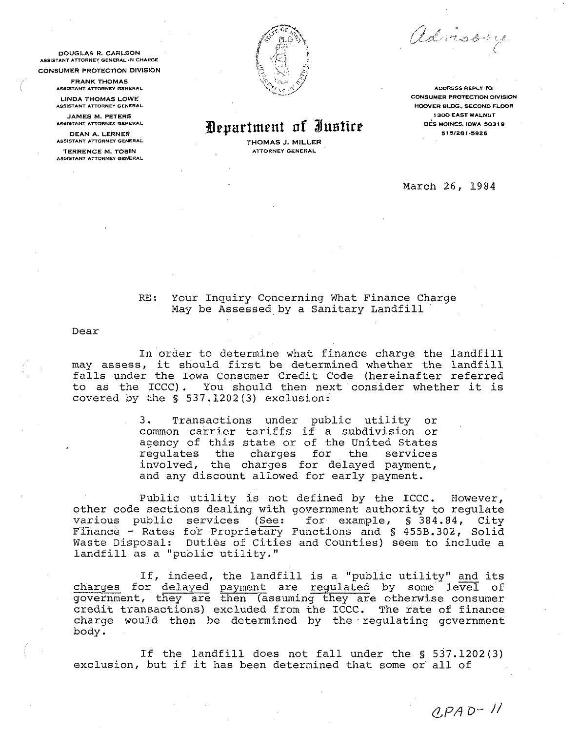advisory

.<br>كر<sup>ى</sup> ھە

**Bepartment of Justice bes MOINES, IOWA 50319** 

**THOMAS J. MILLER ATTORNEY GENERAL** 

**ADDRESS REPLY TOi CONSUMER PROTECTtON DIVISION HOOVER BLDG.. SECOND FLOOR 1300 EAST WALNUT** 

March 26, 1984

RE: Your Inquiry Concerning What Finance Charge May be Assessed by a Sanitary Landfill

Dear

In order to determine what finance charge the landfill may assess, it should first be determined whether the landfill falls under the Iowa Consumer Credit Code (hereinafter referred to as the ICCC). You should then next consider whether it is covered by the *S;* 537.1202(3) exclusion:

> 3. Transactions under public utility or common carrier tariffs if a subdivision or agency of this state or of the United States regulates the charges for the services involved, the charges for delayed payment, and any discount allowed for early payment.

Public utility is not defined by the ICCC. However, other code sections dealing with government authority to regulate<br>various public services (See: for example, § 384.84, City INVOIVED, the Charges for delayed payment,<br>
and any discount allowed for early payment.<br>
Public utility is not defined by the ICCC. However,<br>
other code sections dealing with government authority to regulate<br>
various publi Waste Disposal: Duties of Cities and Counties) seem to include a landfill as a "public utility."

If, indeed, the landfill is a "public utility" and its charges for delayed payment are regulated by some level of government, they are then (assuming they are otherwise consumer credit transactions) excluded from the ICCC. The rate of finance charge would then be determined by the regulating government body.

If the landfill does not fall under the *S* 537.1202(3) exclusion, but if it has been determined that some or all of



**DOUGLAS R. CARLSON 15515TANT ATTORNEY GENERAL IN CHARGE** 

**CONSUMER PROTECTION DIVISION** 

**FRANK THOMAS AS51STANT ATTORNCY OENERAL** 

**LINDA THOMAS LOWE A5515TANT ATIORNEY OENERhL** 

**JAMES M. PETERS LSSISThNT ATTORNEY CIENERLL** 

**DEAN A. LERNER AS615TANi 6TTORNEI GENERAL** 

**TERRENCE M. TOBIN ASSISTANT ATTORNEY GENERAL**